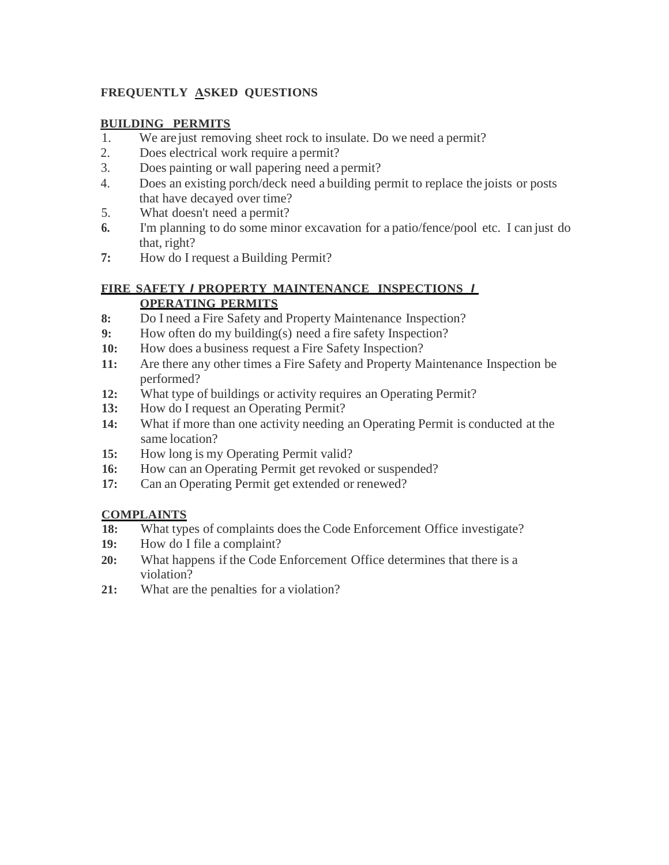# **FREQUENTLY ASKED QUESTIONS**

## **BUILDING PERMITS**

- 1. We are just removing sheet rock to insulate. Do we need a permit?
- 2. Does electrical work require a permit?
- 3. Does painting or wall papering need a permit?
- 4. Does an existing porch/deck need a building permit to replace the joists or posts that have decayed over time?
- 5. What doesn't need a permit?
- **6.** I'm planning to do some minor excavation for a patio/fence/pool etc. I can just do that, right?
- **7:** How do I request a Building Permit?

## **FIRE SAFETY** *I* **PROPERTY MAINTENANCE INSPECTIONS** *I* **OPERATING PERMITS**

- **8:** Do I need a Fire Safety and Property Maintenance Inspection?
- **9:** How often do my building(s) need a fire safety Inspection?
- **10:** How does a business request a Fire Safety Inspection?
- **11:** Are there any other times a Fire Safety and Property Maintenance Inspection be performed?
- **12:** What type of buildings or activity requires an Operating Permit?
- **13:** How do I request an Operating Permit?
- **14:** What if more than one activity needing an Operating Permit is conducted at the same location?
- **15:** How long is my Operating Permit valid?
- **16:** How can an Operating Permit get revoked or suspended?
- **17:** Can an Operating Permit get extended or renewed?

#### **COMPLAINTS**

- **18:** What types of complaints doesthe Code Enforcement Office investigate?
- **19:** How do I file a complaint?
- **20:** What happens if the Code Enforcement Office determines that there is a violation?
- **21:** What are the penalties for a violation?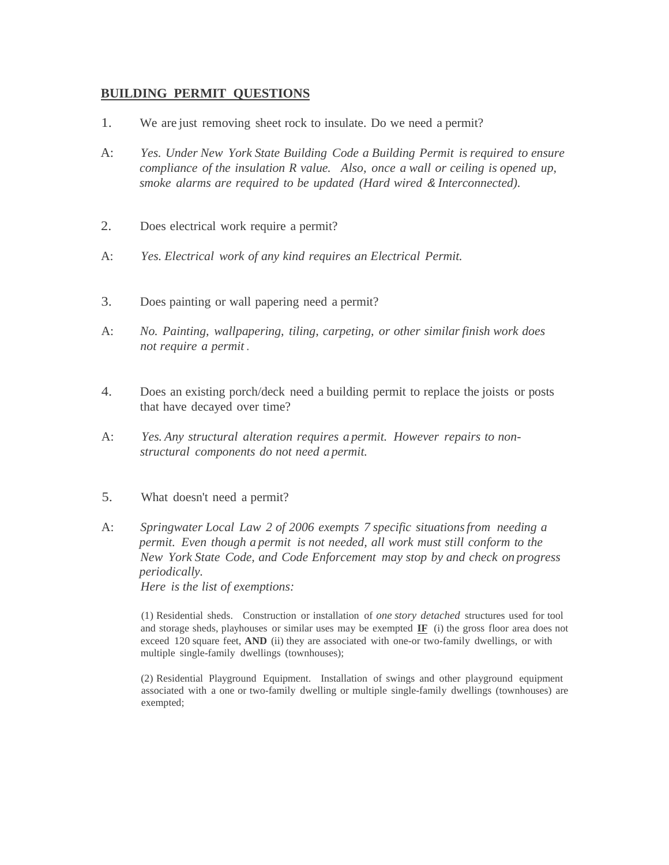## **BUILDING PERMIT QUESTIONS**

- 1. We are just removing sheet rock to insulate. Do we need a permit?
- A: *Yes. Under New York State Building Code a Building Permit is required to ensure compliance of the insulation R value. Also, once a wall or ceiling is opened up, smoke alarms are required to be updated (Hard wired & Interconnected).*
- 2. Does electrical work require a permit?
- A: *Yes. Electrical work of any kind requires an Electrical Permit.*
- 3. Does painting or wall papering need a permit?
- A: *No. Painting, wallpapering, tiling, carpeting, or other similarfinish work does not require a permit .*
- 4. Does an existing porch/deck need a building permit to replace the joists or posts that have decayed over time?
- A: *Yes. Any structural alteration requires a permit. However repairs to nonstructural components do not need a permit.*
- 5. What doesn't need a permit?
- A: *Springwater Local Law 2 of 2006 exempts 7 specific situationsfrom needing a permit. Even though a permit is not needed, all work must still conform to the New York State Code, and Code Enforcement may stop by and check on progress periodically.*

*Here is the list of exemptions:*

(1) Residential sheds. Construction or installation of *one story detached* structures used for tool and storage sheds, playhouses or similar uses may be exempted **IF** (i) the gross floor area does not exceed 120 square feet, **AND** (ii) they are associated with one-or two-family dwellings, or with multiple single-family dwellings (townhouses);

(2) Residential Playground Equipment. Installation of swings and other playground equipment associated with a one or two-family dwelling or multiple single-family dwellings (townhouses) are exempted;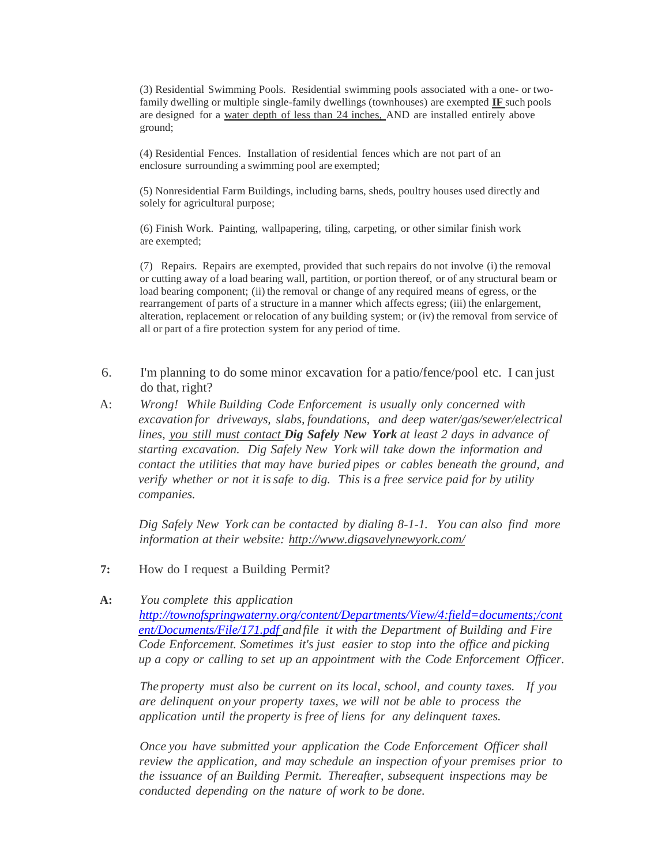(3) Residential Swimming Pools. Residential swimming pools associated with a one- or twofamily dwelling or multiple single-family dwellings (townhouses) are exempted **IF** such pools are designed for a water depth of less than 24 inches, AND are installed entirely above ground;

(4) Residential Fences. Installation of residential fences which are not part of an enclosure surrounding a swimming pool are exempted;

(5) Nonresidential Farm Buildings, including barns, sheds, poultry houses used directly and solely for agricultural purpose;

(6) Finish Work. Painting, wallpapering, tiling, carpeting, or other similar finish work are exempted;

(7) Repairs. Repairs are exempted, provided that such repairs do not involve (i) the removal or cutting away of a load bearing wall, partition, or portion thereof, or of any structural beam or load bearing component; (ii) the removal or change of any required means of egress, or the rearrangement of parts of a structure in a manner which affects egress; (iii) the enlargement, alteration, replacement or relocation of any building system; or (iv) the removal from service of all or part of a fire protection system for any period of time.

- 6. I'm planning to do some minor excavation for a patio/fence/pool etc. I can just do that, right?
- A: *Wrong! While Building Code Enforcement is usually only concerned with excavation for driveways, slabs, foundations, and deep water/gas/sewer/electrical lines, you still must contact Dig Safely New York at least 2 days in advance of starting excavation. Dig Safely New York will take down the information and contact the utilities that may have buried pipes or cables beneath the ground, and verify whether or not it issafe to dig. This is a free service paid for by utility companies.*

*Dig Safely New York can be contacted by dialing 8-1-1. You can also find more information at their website: http://www.digsavelynewyork.com/*

**7:** How do I request a Building Permit?

#### **A:** *You complete this application*

*[http://townofspringwaterny.org/content/Departments/View/4:field=documents;/cont](http://townofspringwaterny.org/content/Departments/View/4:field=documents;/content/Documents/File/171.pdf) [ent/Documents/File/171.pdf](http://townofspringwaterny.org/content/Departments/View/4:field=documents;/content/Documents/File/171.pdf) and file it with the Department of Building and Fire Code Enforcement. Sometimes it's just easier to stop into the office and picking up a copy or calling to set up an appointment with the Code Enforcement Officer.*

*The property must also be current on its local, school, and county taxes. If you are delinquent on your property taxes, we will not be able to process the application until the property is free of liens for any delinquent taxes.*

*Once you have submitted your application the Code Enforcement Officer shall review the application, and may schedule an inspection of your premises prior to the issuance of an Building Permit. Thereafter, subsequent inspections may be conducted depending on the nature of work to be done.*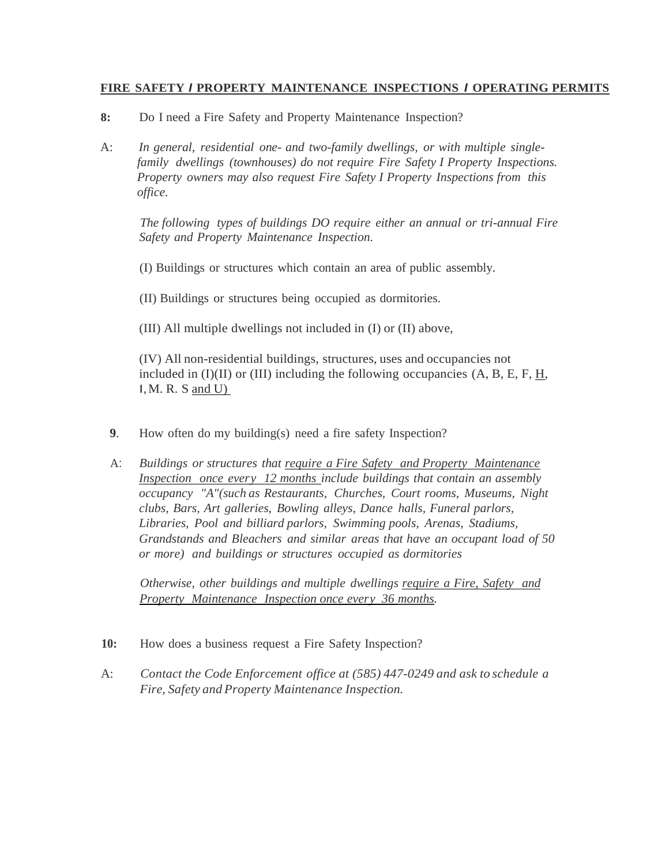#### **FIRE SAFETY** *I* **PROPERTY MAINTENANCE INSPECTIONS** *I* **OPERATING PERMITS**

- **8:** Do I need a Fire Safety and Property Maintenance Inspection?
- A: *In general, residential one- and two-family dwellings, or with multiple singlefamily dwellings (townhouses) do not require Fire Safety I Property Inspections. Property owners may also request Fire Safety I Property Inspections from this office.*

*The following types of buildings DO require either an annual or tri-annual Fire Safety and Property Maintenance Inspection.*

(I) Buildings or structures which contain an area of public assembly.

(II) Buildings or structures being occupied as dormitories.

(III) All multiple dwellings not included in (I) or (II) above,

(IV) All non-residential buildings, structures, uses and occupancies not included in  $(I)(II)$  or  $(III)$  including the following occupancies  $(A, B, E, F, H, F)$  $I, M. R. S$  and U)

- **9**. How often do my building(s) need a fire safety Inspection?
- A: *Buildings or structures that require a Fire Safety and Property Maintenance Inspection once every 12 months include buildings that contain an assembly occupancy "A"(such as Restaurants, Churches, Court rooms, Museums, Night clubs, Bars, Art galleries, Bowling alleys, Dance halls, Funeral parlors, Libraries, Pool and billiard parlors, Swimming pools, Arenas, Stadiums, Grandstands and Bleachers and similar areas that have an occupant load of 50 or more) and buildings or structures occupied as dormitories*

*Otherwise, other buildings and multiple dwellings require a Fire, Safety and Property Maintenance Inspection once every 36 months.*

- **10:** How does a business request a Fire Safety Inspection?
- A: *Contact the Code Enforcement office at (585) 447-0249 and ask to schedule a Fire, Safety and Property Maintenance Inspection.*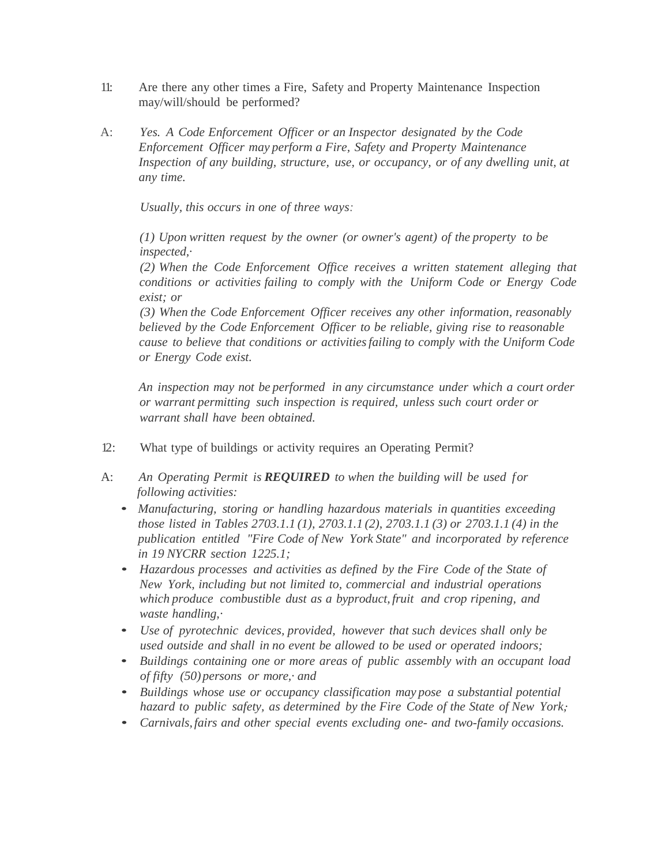- 11: Are there any other times a Fire, Safety and Property Maintenance Inspection may/will/should be performed?
- A: *Yes. A Code Enforcement Officer or an Inspector designated by the Code Enforcement Officer may perform a Fire, Safety and Property Maintenance Inspection of any building, structure, use, or occupancy, or of any dwelling unit, at any time.*

*Usually, this occurs in one of three ways:*

*(1) Upon written request by the owner (or owner's agent) of the property to be inspected,·*

*(2) When the Code Enforcement Office receives a written statement alleging that conditions or activities failing to comply with the Uniform Code or Energy Code exist; or*

*(3) When the Code Enforcement Officer receives any other information, reasonably believed by the Code Enforcement Officer to be reliable, giving rise to reasonable cause to believe that conditions or activitiesfailing to comply with the Uniform Code or Energy Code exist.*

*An inspection may not be performed in any circumstance under which a court order or warrant permitting such inspection is required, unless such court order or warrant shall have been obtained.*

- 12: What type of buildings or activity requires an Operating Permit?
- A: *An Operating Permit is REQUIRED to when the building will be used for following activities:*
	- *Manufacturing, storing or handling hazardous materials in quantities exceeding those listed in Tables 2703.1.1 (1), 2703.1.1 (2), 2703.1.1 (3) or 2703.1.1 (4) in the publication entitled "Fire Code of New York State" and incorporated by reference in 19 NYCRR section 1225.1;*
	- *Hazardous processes and activities as defined by the Fire Code of the State of New York, including but not limited to, commercial and industrial operations which produce combustible dust as a byproduct, fruit and crop ripening, and waste handling,·*
	- *Use of pyrotechnic devices, provided, however that such devices shall only be used outside and shall in no event be allowed to be used or operated indoors;*
	- *Buildings containing one or more areas of public assembly with an occupant load of fifty (50)persons or more,· and*
	- *Buildings whose use or occupancy classification may pose a substantial potential hazard to public safety, as determined by the Fire Code of the State of New York,·*
	- *Carnivals,fairs and other special events excluding one- and two-family occasions.*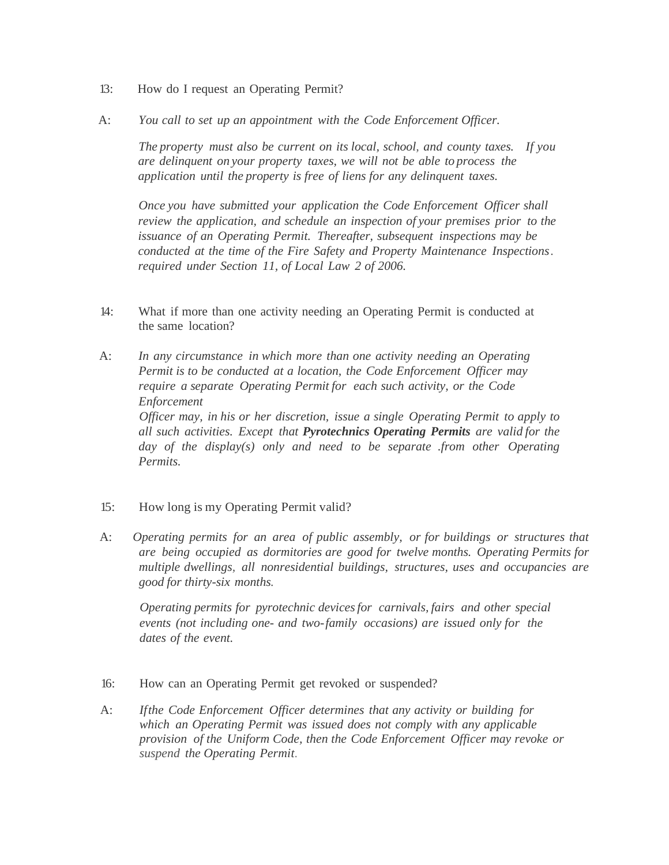- 13: How do I request an Operating Permit?
- A: *You call to set up an appointment with the Code Enforcement Officer.*

*The property must also be current on its local, school, and county taxes. If you are delinquent on your property taxes, we will not be able to process the application until the property is free of liens for any delinquent taxes.*

*Once you have submitted your application the Code Enforcement Officer shall review the application, and schedule an inspection of your premises prior to the issuance of an Operating Permit. Thereafter, subsequent inspections may be conducted at the time of the Fire Safety and Property Maintenance Inspections. required under Section 11, of Local Law 2 of 2006.*

- 14: What if more than one activity needing an Operating Permit is conducted at the same location?
- A: *In any circumstance in which more than one activity needing an Operating Permit is to be conducted at a location, the Code Enforcement Officer may require a separate Operating Permit for each such activity, or the Code Enforcement Officer may, in his or her discretion, issue a single Operating Permit to apply to all such activities. Except that Pyrotechnics Operating Permits are valid for the day of the display(s) only and need to be separate .from other Operating Permits.*
- 15: How long is my Operating Permit valid?
- A: *Operating permits for an area of public assembly, or for buildings or structures that are being occupied as dormitories are good for twelve months. Operating Permits for multiple dwellings, all nonresidential buildings, structures, uses and occupancies are good for thirty-six months.*

*Operating permits for pyrotechnic devicesfor carnivals, fairs and other special events (not including one- and two-family occasions) are issued only for the dates of the event.*

- 16: How can an Operating Permit get revoked or suspended?
- A: *Ifthe Code Enforcement Officer determines that any activity or building for which an Operating Permit was issued does not comply with any applicable provision of the Uniform Code, then the Code Enforcement Officer may revoke or suspend the Operating Permit.*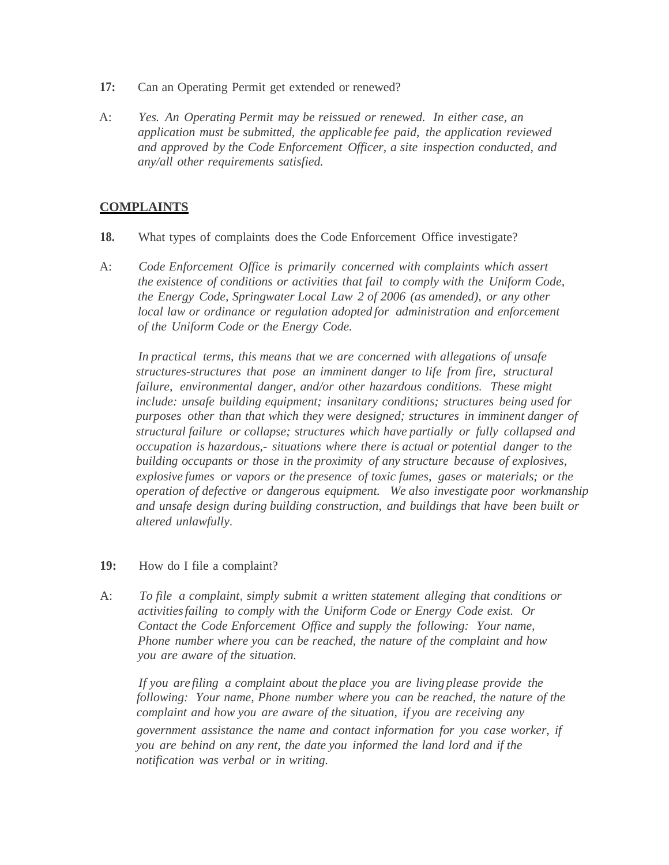- **17:** Can an Operating Permit get extended or renewed?
- A: *Yes. An Operating Permit may be reissued or renewed. In either case, an application must be submitted, the applicable fee paid, the application reviewed and approved by the Code Enforcement Officer, a site inspection conducted, and any/all other requirements satisfied.*

### **COMPLAINTS**

- **18.** What types of complaints does the Code Enforcement Office investigate?
- A: *Code Enforcement Office is primarily concerned with complaints which assert the existence of conditions or activities that fail to comply with the Uniform Code, the Energy Code, Springwater Local Law 2 of 2006 (as amended), or any other local law or ordinance or regulation adopted for administration and enforcement of the Uniform Code or the Energy Code.*

*In practical terms, this means that we are concerned with allegations of unsafe structures*-*structures that pose an imminent danger to life from fire, structural failure, environmental danger, and/or other hazardous conditions. These might include: unsafe building equipment; insanitary conditions; structures being used for purposes other than that which they were designed; structures in imminent danger of structural failure or collapse; structures which have partially or fully collapsed and occupation is hazardous,- situations where there is actual or potential danger to the building occupants or those in the proximity of any structure because of explosives, explosive fumes or vapors or the presence of toxic fumes, gases or materials; or the operation of defective or dangerous equipment. We also investigate poor workmanship and unsafe design during building construction, and buildings that have been built or altered unlawfully.*

#### **19:** How do I file a complaint?

A: *To file a complaint, simply submit a written statement alleging that conditions or activitiesfailing to comply with the Uniform Code or Energy Code exist. Or Contact the Code Enforcement Office and supply the following: Your name, Phone number where you can be reached, the nature of the complaint and how you are aware of the situation.*

*If you are filing a complaint about the place you are living please provide the following: Your name, Phone number where you can be reached, the nature of the complaint and how you are aware of the situation, if you are receiving any government assistance the name and contact information for you case worker, if you are behind on any rent, the date you informed the land lord and if the notification was verbal or in writing.*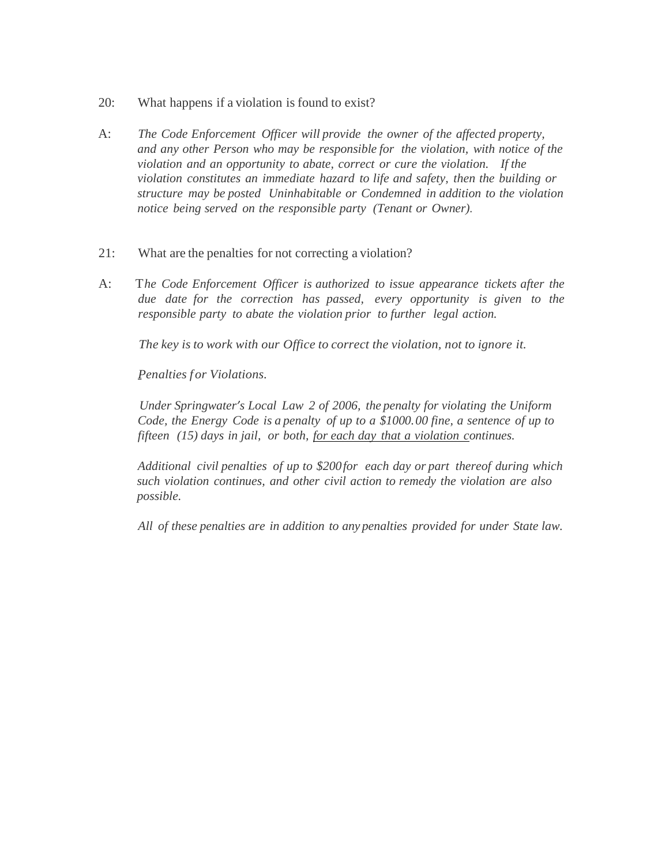- 20: What happens if a violation is found to exist?
- A: *The Code Enforcement Officer will provide the owner of the affected property, and any other Person who may be responsible for the violation, with notice of the violation and an opportunity to abate, correct or cure the violation. If the violation constitutes an immediate hazard to life and safety, then the building or structure may be posted Uninhabitable or Condemned in addition to the violation notice being served on the responsible party (Tenant or Owner).*
- 21: What are the penalties for not correcting a violation?
- A: T*he Code Enforcement Officer is authorized to issue appearance tickets after the due date for the correction has passed, every opportunity is given to the responsible party to abate the violation prior to further legal action.*

*The key is to work with our Office to correct the violation, not to ignore it.*

*Penalties f or Violations.*

*Under Springwater's Local Law 2 of 2006, the penalty for violating the Uniform Code, the Energy Code is a penalty of up to a \$1000.00 fine, a sentence of up to fifteen (15) days in jail, or both, for each day that a violation continues.*

*Additional civil penalties of up to \$200for each day or part thereof during which such violation continues, and other civil action to remedy the violation are also possible.*

*All of these penalties are in addition to any penalties provided for under State law.*